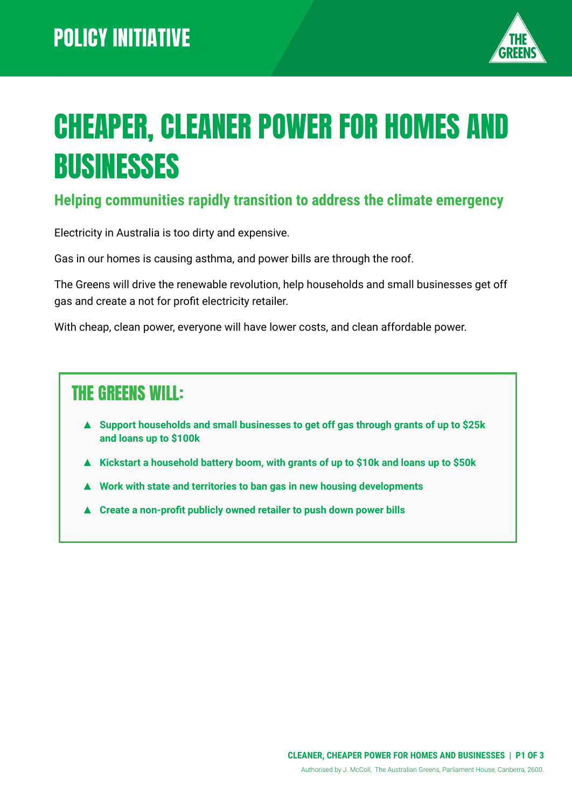

# CHEAPER, CLEANER POWER FOR HOMES AND BUSINESSES

#### **Helping communities rapidly transition to address the climate emergency**

Electricity in Australia is too dirty and expensive.

Gas in our homes is causing asthma, and power bills are through the roof.

The Greens will drive the renewable revolution, help households and small businesses get off gas and create a not for profit electricity retailer.

With cheap, clean power, everyone will have lower costs, and clean affordable power.

#### THE GREENS WILL:

- ▲ **Support households and small businesses to get off gas through grants of up to \$25k and loans up to \$100k**
- **▲ Kickstart a household battery boom, with grants of up to \$10k and loans up to \$50k**
- **▲ Work with state and territories to ban gas in new housing developments**
- ▲ **Create a non-profit publicly owned retailer to push down power bills**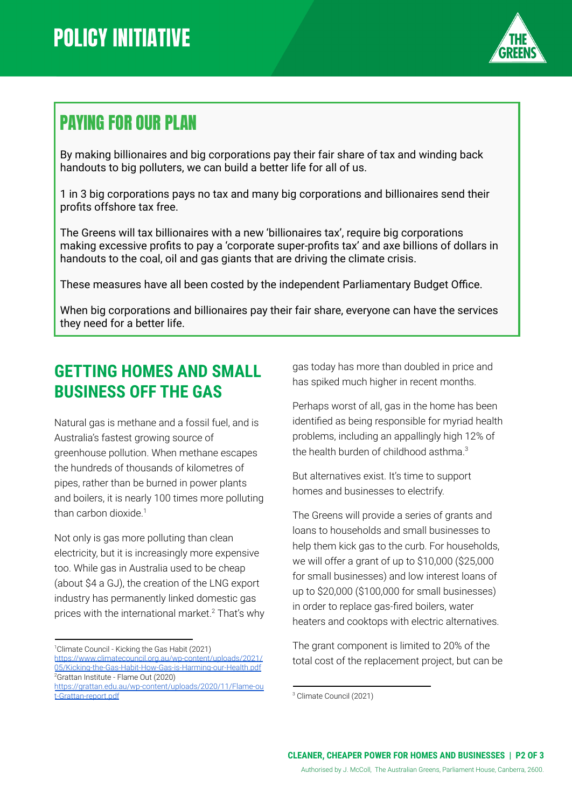

### PAYING FOR OUR PLAN

By making billionaires and big corporations pay their fair share of tax and winding back handouts to big polluters, we can build a better life for all of us.

1 in 3 big corporations pays no tax and many big corporations and billionaires send their profits offshore tax free.

The Greens will tax billionaires with a new 'billionaires tax', require big corporations making excessive profits to pay a 'corporate super-profits tax' and axe billions of dollars in handouts to the coal, oil and gas giants that are driving the climate crisis.

These measures have all been costed by the independent Parliamentary Budget Office.

When big corporations and billionaires pay their fair share, everyone can have the services they need for a better life.

#### **GETTING HOMES AND SMALL BUSINESS OFF THE GAS**

Natural gas is methane and a fossil fuel, and is Australia's fastest growing source of greenhouse pollution. When methane escapes the hundreds of thousands of kilometres of pipes, rather than be burned in power plants and boilers, it is nearly 100 times more polluting than carbon dioxide.<sup>1</sup>

Not only is gas more polluting than clean electricity, but it is increasingly more expensive too. While gas in Australia used to be cheap (about \$4 a GJ), the creation of the LNG export industry has permanently linked domestic gas prices with the international market. $2$  That's why

<sup>1</sup>Climate Council - Kicking the Gas Habit (2021) [https://www.climatecouncil.org.au/wp-content/uploads/2021/](https://www.climatecouncil.org.au/wp-content/uploads/2021/05/Kicking-the-Gas-Habit-How-Gas-is-Harming-our-Health.pdf) [05/Kicking-the-Gas-Habit-How-Gas-is-Harming-our-Health.pdf](https://www.climatecouncil.org.au/wp-content/uploads/2021/05/Kicking-the-Gas-Habit-How-Gas-is-Harming-our-Health.pdf)

gas today has more than doubled in price and has spiked much higher in recent months.

Perhaps worst of all, gas in the home has been identified as being responsible for myriad health problems, including an appallingly high 12% of the health burden of childhood asthma.<sup>3</sup>

But alternatives exist. It's time to support homes and businesses to electrify.

The Greens will provide a series of grants and loans to households and small businesses to help them kick gas to the curb. For households, we will offer a grant of up to \$10,000 (\$25,000 for small businesses) and low interest loans of up to \$20,000 (\$100,000 for small businesses) in order to replace gas-fired boilers, water heaters and cooktops with electric alternatives.

The grant component is limited to 20% of the total cost of the replacement project, but can be

<sup>2</sup>Grattan Institute - Flame Out (2020) [https://grattan.edu.au/wp-content/uploads/2020/11/Flame-ou](https://grattan.edu.au/wp-content/uploads/2020/11/Flame-out-Grattan-report.pdf) [t-Grattan-report.pdf](https://grattan.edu.au/wp-content/uploads/2020/11/Flame-out-Grattan-report.pdf)

<sup>3</sup> Climate Council (2021)